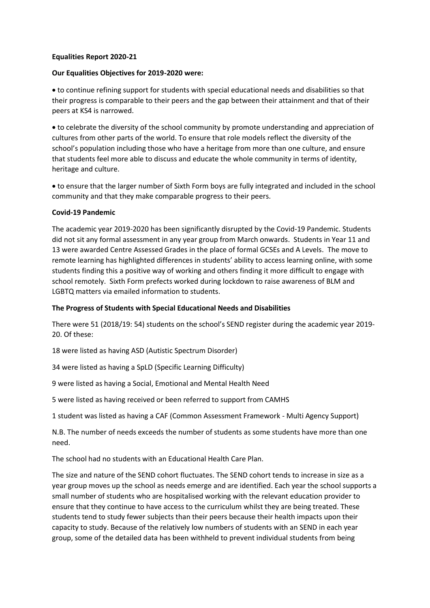## **Equalities Report 2020-21**

## **Our Equalities Objectives for 2019-2020 were:**

 to continue refining support for students with special educational needs and disabilities so that their progress is comparable to their peers and the gap between their attainment and that of their peers at KS4 is narrowed.

 to celebrate the diversity of the school community by promote understanding and appreciation of cultures from other parts of the world. To ensure that role models reflect the diversity of the school's population including those who have a heritage from more than one culture, and ensure that students feel more able to discuss and educate the whole community in terms of identity, heritage and culture.

 to ensure that the larger number of Sixth Form boys are fully integrated and included in the school community and that they make comparable progress to their peers.

### **Covid-19 Pandemic**

The academic year 2019-2020 has been significantly disrupted by the Covid-19 Pandemic. Students did not sit any formal assessment in any year group from March onwards. Students in Year 11 and 13 were awarded Centre Assessed Grades in the place of formal GCSEs and A Levels. The move to remote learning has highlighted differences in students' ability to access learning online, with some students finding this a positive way of working and others finding it more difficult to engage with school remotely. Sixth Form prefects worked during lockdown to raise awareness of BLM and LGBTQ matters via emailed information to students.

## **The Progress of Students with Special Educational Needs and Disabilities**

There were 51 (2018/19: 54) students on the school's SEND register during the academic year 2019- 20. Of these:

18 were listed as having ASD (Autistic Spectrum Disorder)

34 were listed as having a SpLD (Specific Learning Difficulty)

9 were listed as having a Social, Emotional and Mental Health Need

5 were listed as having received or been referred to support from CAMHS

1 student was listed as having a CAF (Common Assessment Framework - Multi Agency Support)

N.B. The number of needs exceeds the number of students as some students have more than one need.

The school had no students with an Educational Health Care Plan.

The size and nature of the SEND cohort fluctuates. The SEND cohort tends to increase in size as a year group moves up the school as needs emerge and are identified. Each year the school supports a small number of students who are hospitalised working with the relevant education provider to ensure that they continue to have access to the curriculum whilst they are being treated. These students tend to study fewer subjects than their peers because their health impacts upon their capacity to study. Because of the relatively low numbers of students with an SEND in each year group, some of the detailed data has been withheld to prevent individual students from being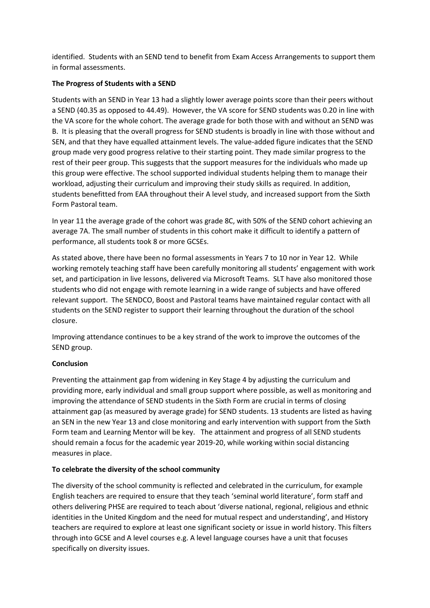identified. Students with an SEND tend to benefit from Exam Access Arrangements to support them in formal assessments.

# **The Progress of Students with a SEND**

Students with an SEND in Year 13 had a slightly lower average points score than their peers without a SEND (40.35 as opposed to 44.49). However, the VA score for SEND students was 0.20 in line with the VA score for the whole cohort. The average grade for both those with and without an SEND was B. It is pleasing that the overall progress for SEND students is broadly in line with those without and SEN, and that they have equalled attainment levels. The value-added figure indicates that the SEND group made very good progress relative to their starting point. They made similar progress to the rest of their peer group. This suggests that the support measures for the individuals who made up this group were effective. The school supported individual students helping them to manage their workload, adjusting their curriculum and improving their study skills as required. In addition, students benefitted from EAA throughout their A level study, and increased support from the Sixth Form Pastoral team.

In year 11 the average grade of the cohort was grade 8C, with 50% of the SEND cohort achieving an average 7A. The small number of students in this cohort make it difficult to identify a pattern of performance, all students took 8 or more GCSEs.

As stated above, there have been no formal assessments in Years 7 to 10 nor in Year 12. While working remotely teaching staff have been carefully monitoring all students' engagement with work set, and participation in live lessons, delivered via Microsoft Teams. SLT have also monitored those students who did not engage with remote learning in a wide range of subjects and have offered relevant support. The SENDCO, Boost and Pastoral teams have maintained regular contact with all students on the SEND register to support their learning throughout the duration of the school closure.

Improving attendance continues to be a key strand of the work to improve the outcomes of the SEND group.

### **Conclusion**

Preventing the attainment gap from widening in Key Stage 4 by adjusting the curriculum and providing more, early individual and small group support where possible, as well as monitoring and improving the attendance of SEND students in the Sixth Form are crucial in terms of closing attainment gap (as measured by average grade) for SEND students. 13 students are listed as having an SEN in the new Year 13 and close monitoring and early intervention with support from the Sixth Form team and Learning Mentor will be key. The attainment and progress of all SEND students should remain a focus for the academic year 2019-20, while working within social distancing measures in place.

### **To celebrate the diversity of the school community**

The diversity of the school community is reflected and celebrated in the curriculum, for example English teachers are required to ensure that they teach 'seminal world literature', form staff and others delivering PHSE are required to teach about 'diverse national, regional, religious and ethnic identities in the United Kingdom and the need for mutual respect and understanding', and History teachers are required to explore at least one significant society or issue in world history. This filters through into GCSE and A level courses e.g. A level language courses have a unit that focuses specifically on diversity issues.